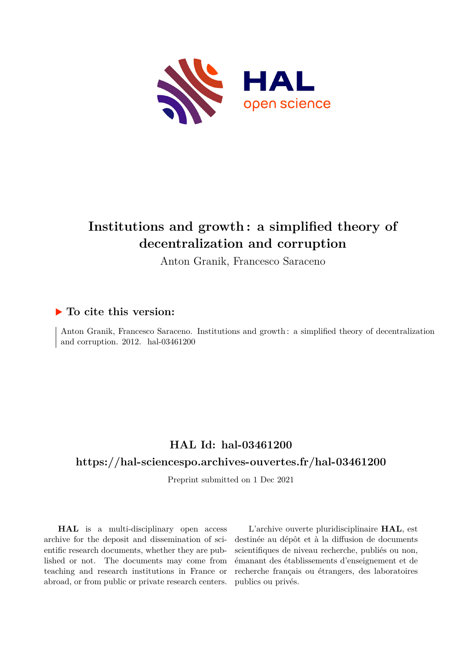

# **Institutions and growth : a simplified theory of decentralization and corruption**

Anton Granik, Francesco Saraceno

### **To cite this version:**

Anton Granik, Francesco Saraceno. Institutions and growth : a simplified theory of decentralization and corruption.  $2012.$  hal- $03461200$ 

# **HAL Id: hal-03461200**

#### **<https://hal-sciencespo.archives-ouvertes.fr/hal-03461200>**

Preprint submitted on 1 Dec 2021

**HAL** is a multi-disciplinary open access archive for the deposit and dissemination of scientific research documents, whether they are published or not. The documents may come from teaching and research institutions in France or abroad, or from public or private research centers.

L'archive ouverte pluridisciplinaire **HAL**, est destinée au dépôt et à la diffusion de documents scientifiques de niveau recherche, publiés ou non, émanant des établissements d'enseignement et de recherche français ou étrangers, des laboratoires publics ou privés.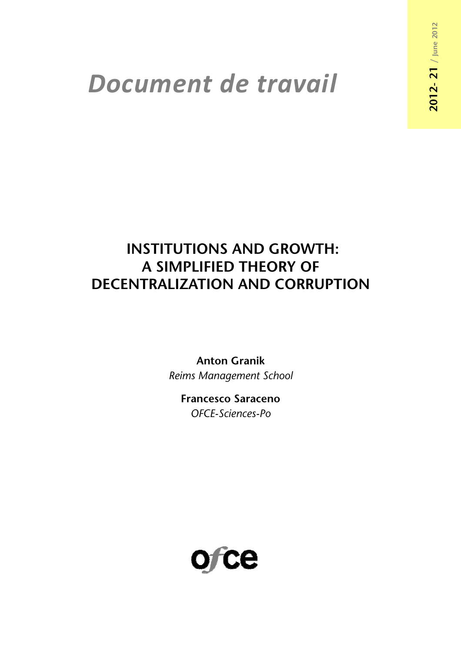# *Document de travail*

# **INSTITUTIONS AND GROWTH: A SIMPLIFIED THEORY OF DECENTRALIZATION AND CORRUPTION**

**Anton Granik** *Reims Management School* 

**Francesco Saraceno**  *OFCE-Sciences-Po* 

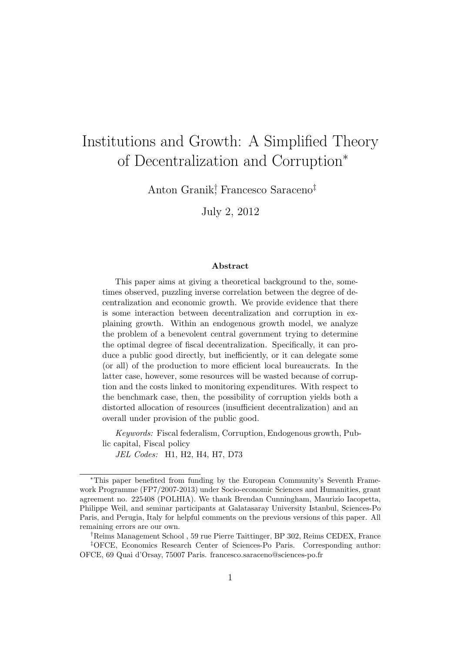# Institutions and Growth: A Simplified Theory of Decentralization and Corruption<sup>∗</sup>

Anton Granik† , Francesco Saraceno‡

July 2, 2012

#### Abstract

This paper aims at giving a theoretical background to the, sometimes observed, puzzling inverse correlation between the degree of decentralization and economic growth. We provide evidence that there is some interaction between decentralization and corruption in explaining growth. Within an endogenous growth model, we analyze the problem of a benevolent central government trying to determine the optimal degree of fiscal decentralization. Specifically, it can produce a public good directly, but inefficiently, or it can delegate some (or all) of the production to more efficient local bureaucrats. In the latter case, however, some resources will be wasted because of corruption and the costs linked to monitoring expenditures. With respect to the benchmark case, then, the possibility of corruption yields both a distorted allocation of resources (insufficient decentralization) and an overall under provision of the public good.

Keywords: Fiscal federalism, Corruption, Endogenous growth, Public capital, Fiscal policy

JEL Codes: H1, H2, H4, H7, D73

<sup>∗</sup>This paper benefited from funding by the European Community's Seventh Framework Programme (FP7/2007-2013) under Socio-economic Sciences and Humanities, grant agreement no. 225408 (POLHIA). We thank Brendan Cunningham, Maurizio Iacopetta, Philippe Weil, and seminar participants at Galatasaray University Istanbul, Sciences-Po Paris, and Perugia, Italy for helpful comments on the previous versions of this paper. All remaining errors are our own.

<sup>†</sup>Reims Management School , 59 rue Pierre Taittinger, BP 302, Reims CEDEX, France

<sup>‡</sup>OFCE, Economics Research Center of Sciences-Po Paris. Corresponding author: OFCE, 69 Quai d'Orsay, 75007 Paris. francesco.saraceno@sciences-po.fr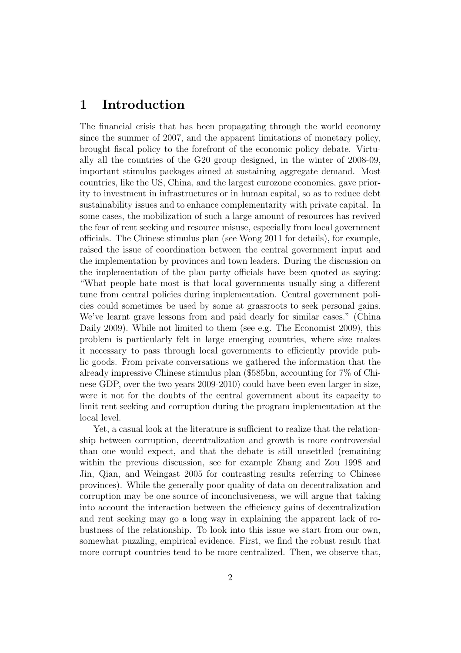## 1 Introduction

The financial crisis that has been propagating through the world economy since the summer of 2007, and the apparent limitations of monetary policy, brought fiscal policy to the forefront of the economic policy debate. Virtually all the countries of the G20 group designed, in the winter of 2008-09, important stimulus packages aimed at sustaining aggregate demand. Most countries, like the US, China, and the largest eurozone economies, gave priority to investment in infrastructures or in human capital, so as to reduce debt sustainability issues and to enhance complementarity with private capital. In some cases, the mobilization of such a large amount of resources has revived the fear of rent seeking and resource misuse, especially from local government officials. The Chinese stimulus plan (see Wong 2011 for details), for example, raised the issue of coordination between the central government input and the implementation by provinces and town leaders. During the discussion on the implementation of the plan party officials have been quoted as saying: "What people hate most is that local governments usually sing a different tune from central policies during implementation. Central government policies could sometimes be used by some at grassroots to seek personal gains. We've learnt grave lessons from and paid dearly for similar cases." (China Daily 2009). While not limited to them (see e.g. The Economist 2009), this problem is particularly felt in large emerging countries, where size makes it necessary to pass through local governments to efficiently provide public goods. From private conversations we gathered the information that the already impressive Chinese stimulus plan (\$585bn, accounting for 7% of Chinese GDP, over the two years 2009-2010) could have been even larger in size, were it not for the doubts of the central government about its capacity to limit rent seeking and corruption during the program implementation at the local level.

Yet, a casual look at the literature is sufficient to realize that the relationship between corruption, decentralization and growth is more controversial than one would expect, and that the debate is still unsettled (remaining within the previous discussion, see for example Zhang and Zou 1998 and Jin, Qian, and Weingast 2005 for contrasting results referring to Chinese provinces). While the generally poor quality of data on decentralization and corruption may be one source of inconclusiveness, we will argue that taking into account the interaction between the efficiency gains of decentralization and rent seeking may go a long way in explaining the apparent lack of robustness of the relationship. To look into this issue we start from our own, somewhat puzzling, empirical evidence. First, we find the robust result that more corrupt countries tend to be more centralized. Then, we observe that,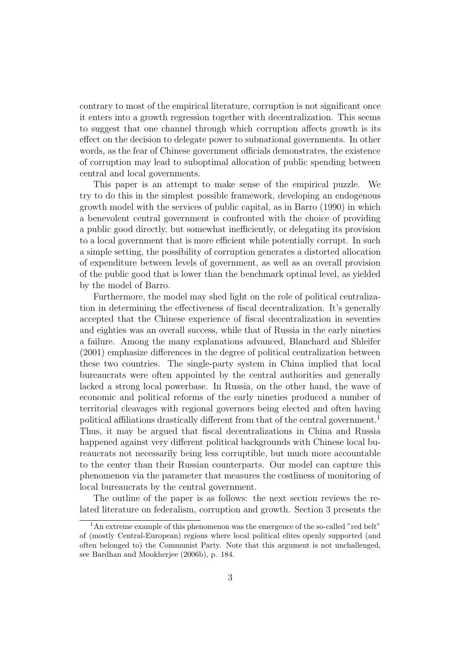contrary to most of the empirical literature, corruption is not significant once it enters into a growth regression together with decentralization. This seems to suggest that one channel through which corruption affects growth is its effect on the decision to delegate power to subnational governments. In other words, as the fear of Chinese government officials demonstrates, the existence of corruption may lead to suboptimal allocation of public spending between central and local governments.

This paper is an attempt to make sense of the empirical puzzle. We try to do this in the simplest possible framework, developing an endogenous growth model with the services of public capital, as in Barro (1990) in which a benevolent central government is confronted with the choice of providing a public good directly, but somewhat inefficiently, or delegating its provision to a local government that is more efficient while potentially corrupt. In such a simple setting, the possibility of corruption generates a distorted allocation of expenditure between levels of government, as well as an overall provision of the public good that is lower than the benchmark optimal level, as yielded by the model of Barro.

Furthermore, the model may shed light on the role of political centralization in determining the effectiveness of fiscal decentralization. It's generally accepted that the Chinese experience of fiscal decentralization in seventies and eighties was an overall success, while that of Russia in the early nineties a failure. Among the many explanations advanced, Blanchard and Shleifer (2001) emphasize differences in the degree of political centralization between these two countries. The single-party system in China implied that local bureaucrats were often appointed by the central authorities and generally lacked a strong local powerbase. In Russia, on the other hand, the wave of economic and political reforms of the early nineties produced a number of territorial cleavages with regional governors being elected and often having political affiliations drastically different from that of the central government.<sup>1</sup> Thus, it may be argued that fiscal decentralizations in China and Russia happened against very different political backgrounds with Chinese local bureaucrats not necessarily being less corruptible, but much more accountable to the center than their Russian counterparts. Our model can capture this phenomenon via the parameter that measures the costliness of monitoring of local bureaucrats by the central government.

The outline of the paper is as follows: the next section reviews the related literature on federalism, corruption and growth. Section 3 presents the

 $1<sup>1</sup>$ An extreme example of this phenomenon was the emergence of the so-called "red belt" of (mostly Central-European) regions where local political elites openly supported (and often belonged to) the Communist Party. Note that this argument is not unchallenged, see Bardhan and Mookherjee (2006b), p. 184.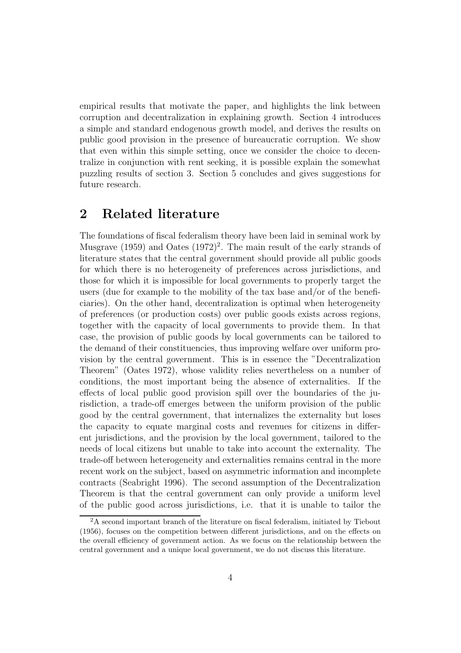empirical results that motivate the paper, and highlights the link between corruption and decentralization in explaining growth. Section 4 introduces a simple and standard endogenous growth model, and derives the results on public good provision in the presence of bureaucratic corruption. We show that even within this simple setting, once we consider the choice to decentralize in conjunction with rent seeking, it is possible explain the somewhat puzzling results of section 3. Section 5 concludes and gives suggestions for future research.

# 2 Related literature

The foundations of fiscal federalism theory have been laid in seminal work by Musgrave  $(1959)$  and Oates  $(1972)^2$ . The main result of the early strands of literature states that the central government should provide all public goods for which there is no heterogeneity of preferences across jurisdictions, and those for which it is impossible for local governments to properly target the users (due for example to the mobility of the tax base and/or of the beneficiaries). On the other hand, decentralization is optimal when heterogeneity of preferences (or production costs) over public goods exists across regions, together with the capacity of local governments to provide them. In that case, the provision of public goods by local governments can be tailored to the demand of their constituencies, thus improving welfare over uniform provision by the central government. This is in essence the "Decentralization Theorem" (Oates 1972), whose validity relies nevertheless on a number of conditions, the most important being the absence of externalities. If the effects of local public good provision spill over the boundaries of the jurisdiction, a trade-off emerges between the uniform provision of the public good by the central government, that internalizes the externality but loses the capacity to equate marginal costs and revenues for citizens in different jurisdictions, and the provision by the local government, tailored to the needs of local citizens but unable to take into account the externality. The trade-off between heterogeneity and externalities remains central in the more recent work on the subject, based on asymmetric information and incomplete contracts (Seabright 1996). The second assumption of the Decentralization Theorem is that the central government can only provide a uniform level of the public good across jurisdictions, i.e. that it is unable to tailor the

<sup>2</sup>A second important branch of the literature on fiscal federalism, initiated by Tiebout (1956), focuses on the competition between different jurisdictions, and on the effects on the overall efficiency of government action. As we focus on the relationship between the central government and a unique local government, we do not discuss this literature.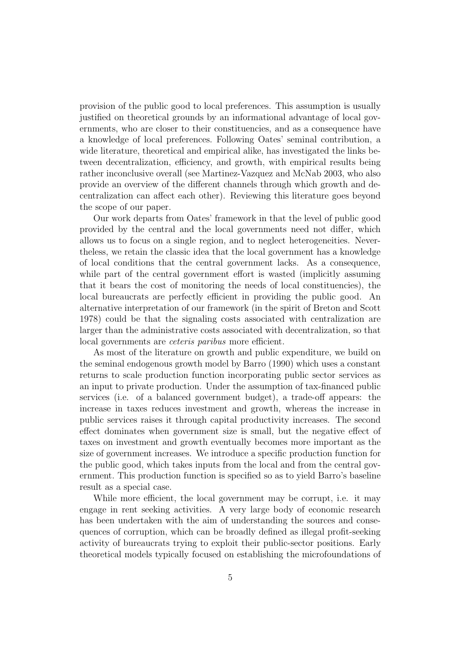provision of the public good to local preferences. This assumption is usually justified on theoretical grounds by an informational advantage of local governments, who are closer to their constituencies, and as a consequence have a knowledge of local preferences. Following Oates' seminal contribution, a wide literature, theoretical and empirical alike, has investigated the links between decentralization, efficiency, and growth, with empirical results being rather inconclusive overall (see Martinez-Vazquez and McNab 2003, who also provide an overview of the different channels through which growth and decentralization can affect each other). Reviewing this literature goes beyond the scope of our paper.

Our work departs from Oates' framework in that the level of public good provided by the central and the local governments need not differ, which allows us to focus on a single region, and to neglect heterogeneities. Nevertheless, we retain the classic idea that the local government has a knowledge of local conditions that the central government lacks. As a consequence, while part of the central government effort is wasted (implicitly assuming that it bears the cost of monitoring the needs of local constituencies), the local bureaucrats are perfectly efficient in providing the public good. An alternative interpretation of our framework (in the spirit of Breton and Scott 1978) could be that the signaling costs associated with centralization are larger than the administrative costs associated with decentralization, so that local governments are ceteris paribus more efficient.

As most of the literature on growth and public expenditure, we build on the seminal endogenous growth model by Barro (1990) which uses a constant returns to scale production function incorporating public sector services as an input to private production. Under the assumption of tax-financed public services (i.e. of a balanced government budget), a trade-off appears: the increase in taxes reduces investment and growth, whereas the increase in public services raises it through capital productivity increases. The second effect dominates when government size is small, but the negative effect of taxes on investment and growth eventually becomes more important as the size of government increases. We introduce a specific production function for the public good, which takes inputs from the local and from the central government. This production function is specified so as to yield Barro's baseline result as a special case.

While more efficient, the local government may be corrupt, i.e. it may engage in rent seeking activities. A very large body of economic research has been undertaken with the aim of understanding the sources and consequences of corruption, which can be broadly defined as illegal profit-seeking activity of bureaucrats trying to exploit their public-sector positions. Early theoretical models typically focused on establishing the microfoundations of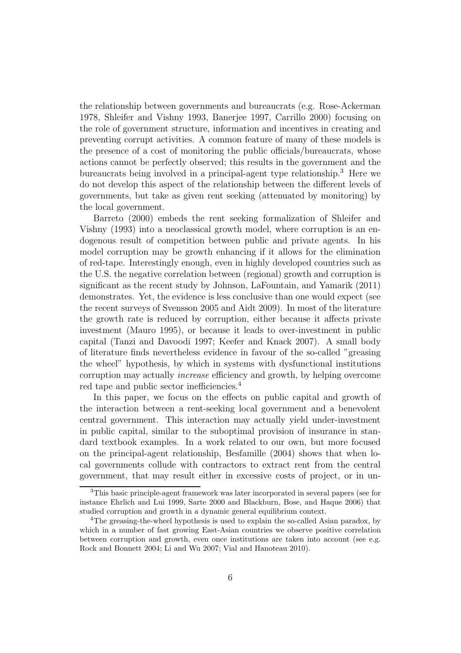the relationship between governments and bureaucrats (e.g. Rose-Ackerman 1978, Shleifer and Vishny 1993, Banerjee 1997, Carrillo 2000) focusing on the role of government structure, information and incentives in creating and preventing corrupt activities. A common feature of many of these models is the presence of a cost of monitoring the public officials/bureaucrats, whose actions cannot be perfectly observed; this results in the government and the bureaucrats being involved in a principal-agent type relationship.<sup>3</sup> Here we do not develop this aspect of the relationship between the different levels of governments, but take as given rent seeking (attenuated by monitoring) by the local government.

Barreto (2000) embeds the rent seeking formalization of Shleifer and Vishny (1993) into a neoclassical growth model, where corruption is an endogenous result of competition between public and private agents. In his model corruption may be growth enhancing if it allows for the elimination of red-tape. Interestingly enough, even in highly developed countries such as the U.S. the negative correlation between (regional) growth and corruption is significant as the recent study by Johnson, LaFountain, and Yamarik (2011) demonstrates. Yet, the evidence is less conclusive than one would expect (see the recent surveys of Svensson 2005 and Aidt 2009). In most of the literature the growth rate is reduced by corruption, either because it affects private investment (Mauro 1995), or because it leads to over-investment in public capital (Tanzi and Davoodi 1997; Keefer and Knack 2007). A small body of literature finds nevertheless evidence in favour of the so-called "greasing the wheel" hypothesis, by which in systems with dysfunctional institutions corruption may actually increase efficiency and growth, by helping overcome red tape and public sector inefficiencies.<sup>4</sup>

In this paper, we focus on the effects on public capital and growth of the interaction between a rent-seeking local government and a benevolent central government. This interaction may actually yield under-investment in public capital, similar to the suboptimal provision of insurance in standard textbook examples. In a work related to our own, but more focused on the principal-agent relationship, Besfamille (2004) shows that when local governments collude with contractors to extract rent from the central government, that may result either in excessive costs of project, or in un-

<sup>3</sup>This basic principle-agent framework was later incorporated in several papers (see for instance Ehrlich and Lui 1999, Sarte 2000 and Blackburn, Bose, and Haque 2006) that studied corruption and growth in a dynamic general equilibrium context.

<sup>&</sup>lt;sup>4</sup>The greasing-the-wheel hypothesis is used to explain the so-called Asian paradox, by which in a number of fast growing East-Asian countries we observe positive correlation between corruption and growth, even once institutions are taken into account (see e.g. Rock and Bonnett 2004; Li and Wu 2007; Vial and Hanoteau 2010).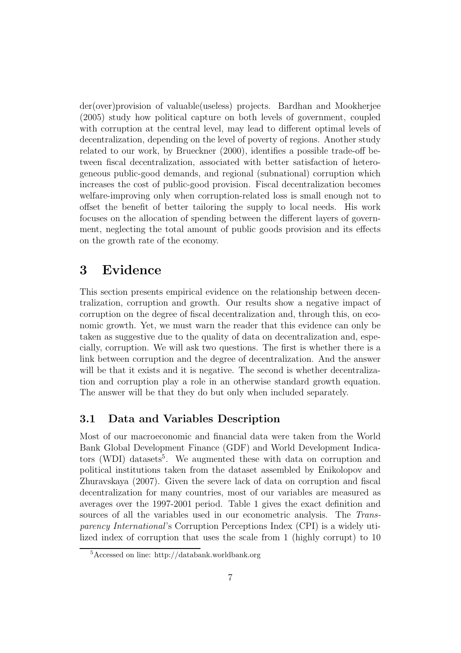der(over)provision of valuable(useless) projects. Bardhan and Mookherjee (2005) study how political capture on both levels of government, coupled with corruption at the central level, may lead to different optimal levels of decentralization, depending on the level of poverty of regions. Another study related to our work, by Brueckner (2000), identifies a possible trade-off between fiscal decentralization, associated with better satisfaction of heterogeneous public-good demands, and regional (subnational) corruption which increases the cost of public-good provision. Fiscal decentralization becomes welfare-improving only when corruption-related loss is small enough not to offset the benefit of better tailoring the supply to local needs. His work focuses on the allocation of spending between the different layers of government, neglecting the total amount of public goods provision and its effects on the growth rate of the economy.

## 3 Evidence

This section presents empirical evidence on the relationship between decentralization, corruption and growth. Our results show a negative impact of corruption on the degree of fiscal decentralization and, through this, on economic growth. Yet, we must warn the reader that this evidence can only be taken as suggestive due to the quality of data on decentralization and, especially, corruption. We will ask two questions. The first is whether there is a link between corruption and the degree of decentralization. And the answer will be that it exists and it is negative. The second is whether decentralization and corruption play a role in an otherwise standard growth equation. The answer will be that they do but only when included separately.

#### 3.1 Data and Variables Description

Most of our macroeconomic and financial data were taken from the World Bank Global Development Finance (GDF) and World Development Indicators (WDI) datasets<sup>5</sup>. We augmented these with data on corruption and political institutions taken from the dataset assembled by Enikolopov and Zhuravskaya (2007). Given the severe lack of data on corruption and fiscal decentralization for many countries, most of our variables are measured as averages over the 1997-2001 period. Table 1 gives the exact definition and sources of all the variables used in our econometric analysis. The Transparency International's Corruption Perceptions Index (CPI) is a widely utilized index of corruption that uses the scale from 1 (highly corrupt) to 10

<sup>5</sup>Accessed on line: http://databank.worldbank.org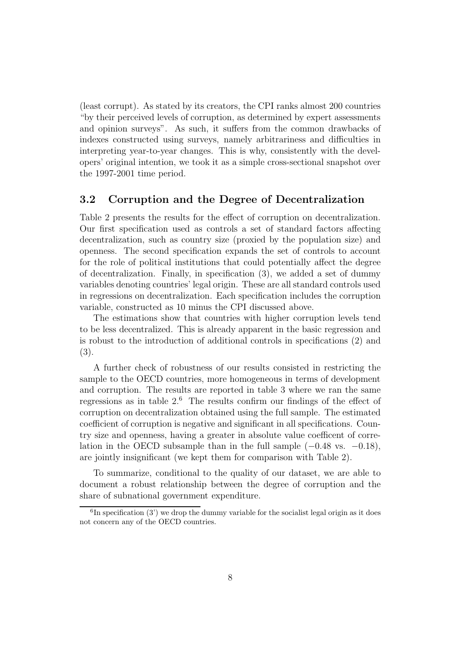(least corrupt). As stated by its creators, the CPI ranks almost 200 countries "by their perceived levels of corruption, as determined by expert assessments and opinion surveys". As such, it suffers from the common drawbacks of indexes constructed using surveys, namely arbitrariness and difficulties in interpreting year-to-year changes. This is why, consistently with the developers' original intention, we took it as a simple cross-sectional snapshot over the 1997-2001 time period.

#### 3.2 Corruption and the Degree of Decentralization

Table 2 presents the results for the effect of corruption on decentralization. Our first specification used as controls a set of standard factors affecting decentralization, such as country size (proxied by the population size) and openness. The second specification expands the set of controls to account for the role of political institutions that could potentially affect the degree of decentralization. Finally, in specification (3), we added a set of dummy variables denoting countries' legal origin. These are all standard controls used in regressions on decentralization. Each specification includes the corruption variable, constructed as 10 minus the CPI discussed above.

The estimations show that countries with higher corruption levels tend to be less decentralized. This is already apparent in the basic regression and is robust to the introduction of additional controls in specifications (2) and (3).

A further check of robustness of our results consisted in restricting the sample to the OECD countries, more homogeneous in terms of development and corruption. The results are reported in table 3 where we ran the same regressions as in table  $2<sup>6</sup>$ . The results confirm our findings of the effect of corruption on decentralization obtained using the full sample. The estimated coefficient of corruption is negative and significant in all specifications. Country size and openness, having a greater in absolute value coefficent of correlation in the OECD subsample than in the full sample  $(-0.48 \text{ vs. } -0.18)$ , are jointly insignificant (we kept them for comparison with Table 2).

To summarize, conditional to the quality of our dataset, we are able to document a robust relationship between the degree of corruption and the share of subnational government expenditure.

 ${}^{6}$ In specification (3') we drop the dummy variable for the socialist legal origin as it does not concern any of the OECD countries.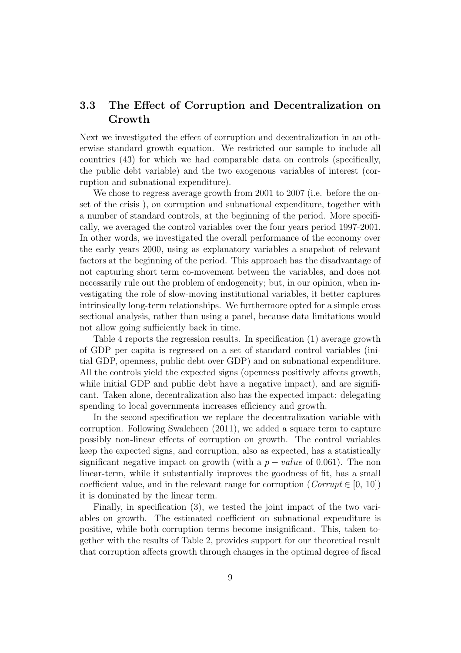### 3.3 The Effect of Corruption and Decentralization on Growth

Next we investigated the effect of corruption and decentralization in an otherwise standard growth equation. We restricted our sample to include all countries (43) for which we had comparable data on controls (specifically, the public debt variable) and the two exogenous variables of interest (corruption and subnational expenditure).

We chose to regress average growth from 2001 to 2007 (i.e. before the onset of the crisis ), on corruption and subnational expenditure, together with a number of standard controls, at the beginning of the period. More specifically, we averaged the control variables over the four years period 1997-2001. In other words, we investigated the overall performance of the economy over the early years 2000, using as explanatory variables a snapshot of relevant factors at the beginning of the period. This approach has the disadvantage of not capturing short term co-movement between the variables, and does not necessarily rule out the problem of endogeneity; but, in our opinion, when investigating the role of slow-moving institutional variables, it better captures intrinsically long-term relationships. We furthermore opted for a simple cross sectional analysis, rather than using a panel, because data limitations would not allow going sufficiently back in time.

Table 4 reports the regression results. In specification (1) average growth of GDP per capita is regressed on a set of standard control variables (initial GDP, openness, public debt over GDP) and on subnational expenditure. All the controls yield the expected signs (openness positively affects growth, while initial GDP and public debt have a negative impact), and are significant. Taken alone, decentralization also has the expected impact: delegating spending to local governments increases efficiency and growth.

In the second specification we replace the decentralization variable with corruption. Following Swaleheen (2011), we added a square term to capture possibly non-linear effects of corruption on growth. The control variables keep the expected signs, and corruption, also as expected, has a statistically significant negative impact on growth (with a  $p-value$  of 0.061). The non linear-term, while it substantially improves the goodness of fit, has a small coefficient value, and in the relevant range for corruption ( $Corrupt \in [0, 10]$ ) it is dominated by the linear term.

Finally, in specification (3), we tested the joint impact of the two variables on growth. The estimated coefficient on subnational expenditure is positive, while both corruption terms become insignificant. This, taken together with the results of Table 2, provides support for our theoretical result that corruption affects growth through changes in the optimal degree of fiscal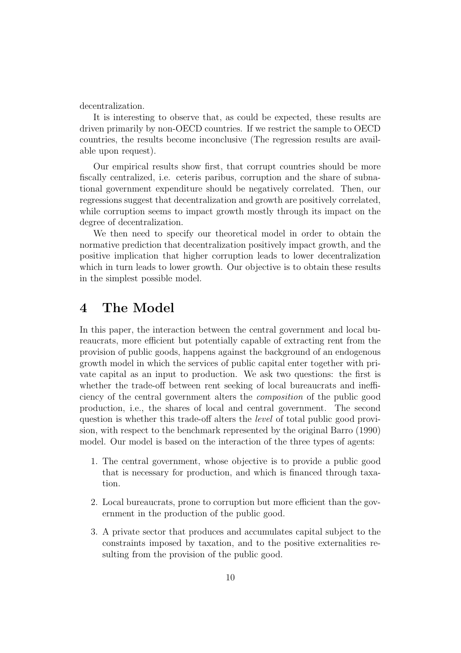decentralization.

It is interesting to observe that, as could be expected, these results are driven primarily by non-OECD countries. If we restrict the sample to OECD countries, the results become inconclusive (The regression results are available upon request).

Our empirical results show first, that corrupt countries should be more fiscally centralized, i.e. ceteris paribus, corruption and the share of subnational government expenditure should be negatively correlated. Then, our regressions suggest that decentralization and growth are positively correlated, while corruption seems to impact growth mostly through its impact on the degree of decentralization.

We then need to specify our theoretical model in order to obtain the normative prediction that decentralization positively impact growth, and the positive implication that higher corruption leads to lower decentralization which in turn leads to lower growth. Our objective is to obtain these results in the simplest possible model.

## 4 The Model

In this paper, the interaction between the central government and local bureaucrats, more efficient but potentially capable of extracting rent from the provision of public goods, happens against the background of an endogenous growth model in which the services of public capital enter together with private capital as an input to production. We ask two questions: the first is whether the trade-off between rent seeking of local bureaucrats and inefficiency of the central government alters the composition of the public good production, i.e., the shares of local and central government. The second question is whether this trade-off alters the level of total public good provision, with respect to the benchmark represented by the original Barro (1990) model. Our model is based on the interaction of the three types of agents:

- 1. The central government, whose objective is to provide a public good that is necessary for production, and which is financed through taxation.
- 2. Local bureaucrats, prone to corruption but more efficient than the government in the production of the public good.
- 3. A private sector that produces and accumulates capital subject to the constraints imposed by taxation, and to the positive externalities resulting from the provision of the public good.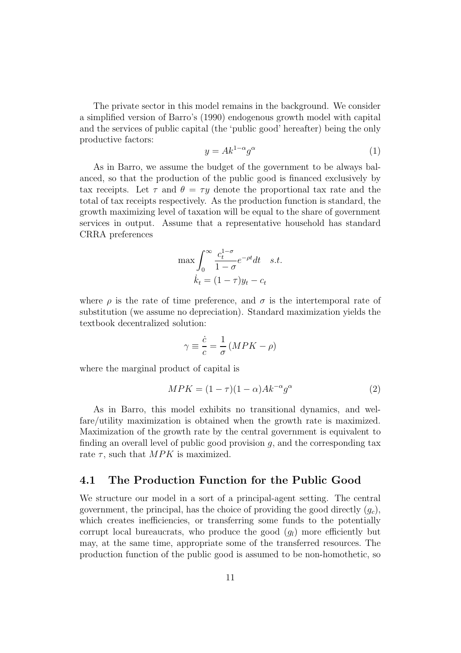The private sector in this model remains in the background. We consider a simplified version of Barro's (1990) endogenous growth model with capital and the services of public capital (the 'public good' hereafter) being the only productive factors:

$$
y = Ak^{1-\alpha}g^{\alpha}
$$
 (1)

As in Barro, we assume the budget of the government to be always balanced, so that the production of the public good is financed exclusively by tax receipts. Let  $\tau$  and  $\theta = \tau y$  denote the proportional tax rate and the total of tax receipts respectively. As the production function is standard, the growth maximizing level of taxation will be equal to the share of government services in output. Assume that a representative household has standard CRRA preferences

$$
\max \int_0^\infty \frac{c_t^{1-\sigma}}{1-\sigma} e^{-\rho t} dt \quad s.t. \n\dot{k}_t = (1-\tau)y_t - c_t
$$

where  $\rho$  is the rate of time preference, and  $\sigma$  is the intertemporal rate of substitution (we assume no depreciation). Standard maximization yields the textbook decentralized solution:

$$
\gamma \equiv \frac{\dot{c}}{c} = \frac{1}{\sigma} \left( MPK - \rho \right)
$$

where the marginal product of capital is

$$
MPK = (1 - \tau)(1 - \alpha)Ak^{-\alpha}g^{\alpha}
$$
\n(2)

As in Barro, this model exhibits no transitional dynamics, and welfare/utility maximization is obtained when the growth rate is maximized. Maximization of the growth rate by the central government is equivalent to finding an overall level of public good provision  $g$ , and the corresponding tax rate  $\tau$ , such that  $MPK$  is maximized.

#### 4.1 The Production Function for the Public Good

We structure our model in a sort of a principal-agent setting. The central government, the principal, has the choice of providing the good directly  $(g_c)$ , which creates inefficiencies, or transferring some funds to the potentially corrupt local bureaucrats, who produce the good  $(q_l)$  more efficiently but may, at the same time, appropriate some of the transferred resources. The production function of the public good is assumed to be non-homothetic, so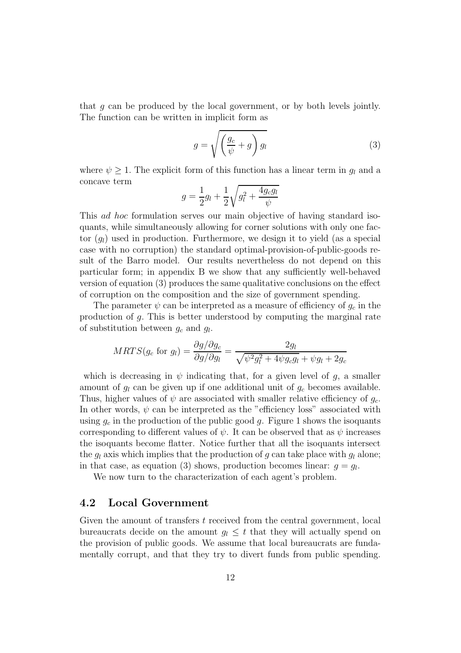that  $q$  can be produced by the local government, or by both levels jointly. The function can be written in implicit form as

$$
g = \sqrt{\left(\frac{g_c}{\psi} + g\right)g_l} \tag{3}
$$

where  $\psi \geq 1$ . The explicit form of this function has a linear term in  $g_l$  and a concave term

$$
g = \frac{1}{2}g_l + \frac{1}{2}\sqrt{g_l^2 + \frac{4g_c g_l}{\psi}}
$$

This ad hoc formulation serves our main objective of having standard isoquants, while simultaneously allowing for corner solutions with only one factor  $(q_l)$  used in production. Furthermore, we design it to yield (as a special case with no corruption) the standard optimal-provision-of-public-goods result of the Barro model. Our results nevertheless do not depend on this particular form; in appendix B we show that any sufficiently well-behaved version of equation (3) produces the same qualitative conclusions on the effect of corruption on the composition and the size of government spending.

The parameter  $\psi$  can be interpreted as a measure of efficiency of  $g_c$  in the production of g. This is better understood by computing the marginal rate of substitution between  $g_c$  and  $g_l$ .

$$
MRTS(g_c \text{ for } g_l) = \frac{\partial g/\partial g_c}{\partial g/\partial g_l} = \frac{2g_l}{\sqrt{\psi^2 g_l^2 + 4\psi g_c g_l} + \psi g_l + 2g_c}
$$

which is decreasing in  $\psi$  indicating that, for a given level of g, a smaller amount of  $g_l$  can be given up if one additional unit of  $g_c$  becomes available. Thus, higher values of  $\psi$  are associated with smaller relative efficiency of  $g_c$ . In other words,  $\psi$  can be interpreted as the "efficiency loss" associated with using  $q_c$  in the production of the public good q. Figure 1 shows the isoquants corresponding to different values of  $\psi$ . It can be observed that as  $\psi$  increases the isoquants become flatter. Notice further that all the isoquants intersect the  $q_l$  axis which implies that the production of q can take place with  $q_l$  alone; in that case, as equation (3) shows, production becomes linear:  $g = g_l$ .

We now turn to the characterization of each agent's problem.

#### 4.2 Local Government

Given the amount of transfers t received from the central government, local bureaucrats decide on the amount  $q_l \leq t$  that they will actually spend on the provision of public goods. We assume that local bureaucrats are fundamentally corrupt, and that they try to divert funds from public spending.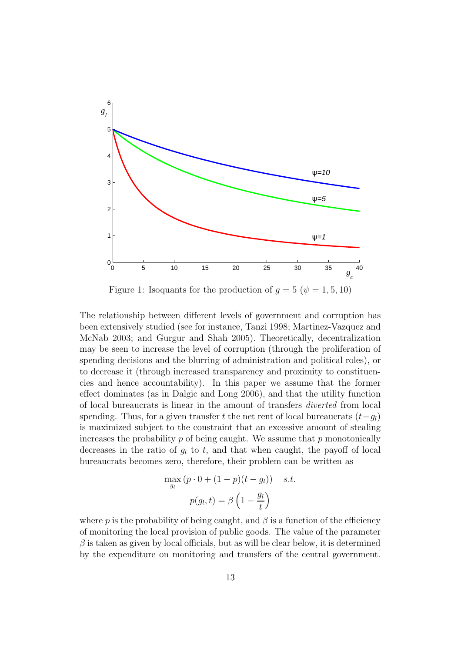

Figure 1: Isoquants for the production of  $g = 5 (\psi = 1, 5, 10)$ 

The relationship between different levels of government and corruption has been extensively studied (see for instance, Tanzi 1998; Martinez-Vazquez and McNab 2003; and Gurgur and Shah 2005). Theoretically, decentralization may be seen to increase the level of corruption (through the proliferation of spending decisions and the blurring of administration and political roles), or to decrease it (through increased transparency and proximity to constituencies and hence accountability). In this paper we assume that the former effect dominates (as in Dalgic and Long 2006), and that the utility function of local bureaucrats is linear in the amount of transfers diverted from local spending. Thus, for a given transfer t the net rent of local bureaucrats  $(t-g_l)$ is maximized subject to the constraint that an excessive amount of stealing increases the probability  $p$  of being caught. We assume that  $p$  monotonically decreases in the ratio of  $g_l$  to t, and that when caught, the payoff of local bureaucrats becomes zero, therefore, their problem can be written as

$$
\max_{g_l} (p \cdot 0 + (1 - p)(t - g_l)) \quad s.t. \n p(g_l, t) = \beta \left(1 - \frac{g_l}{t}\right)
$$

where p is the probability of being caught, and  $\beta$  is a function of the efficiency of monitoring the local provision of public goods. The value of the parameter  $\beta$  is taken as given by local officials, but as will be clear below, it is determined by the expenditure on monitoring and transfers of the central government.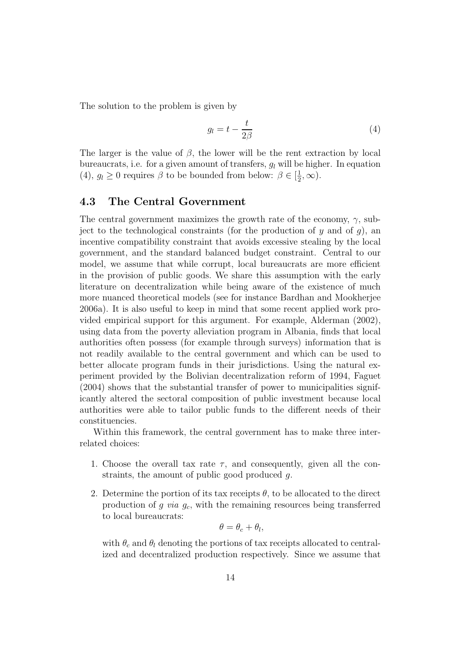The solution to the problem is given by

$$
g_l = t - \frac{t}{2\beta} \tag{4}
$$

The larger is the value of  $\beta$ , the lower will be the rent extraction by local bureaucrats, i.e. for a given amount of transfers,  $q_l$  will be higher. In equation (4),  $g_l \geq 0$  requires  $\beta$  to be bounded from below:  $\beta \in [\frac{1}{2}]$  $\frac{1}{2}, \infty$ ).

#### 4.3 The Central Government

The central government maximizes the growth rate of the economy,  $\gamma$ , subject to the technological constraints (for the production of  $y$  and of  $g$ ), an incentive compatibility constraint that avoids excessive stealing by the local government, and the standard balanced budget constraint. Central to our model, we assume that while corrupt, local bureaucrats are more efficient in the provision of public goods. We share this assumption with the early literature on decentralization while being aware of the existence of much more nuanced theoretical models (see for instance Bardhan and Mookherjee 2006a). It is also useful to keep in mind that some recent applied work provided empirical support for this argument. For example, Alderman (2002), using data from the poverty alleviation program in Albania, finds that local authorities often possess (for example through surveys) information that is not readily available to the central government and which can be used to better allocate program funds in their jurisdictions. Using the natural experiment provided by the Bolivian decentralization reform of 1994, Faguet (2004) shows that the substantial transfer of power to municipalities significantly altered the sectoral composition of public investment because local authorities were able to tailor public funds to the different needs of their constituencies.

Within this framework, the central government has to make three interrelated choices:

- 1. Choose the overall tax rate  $\tau$ , and consequently, given all the constraints, the amount of public good produced g.
- 2. Determine the portion of its tax receipts  $\theta$ , to be allocated to the direct production of  $g$  via  $g_c$ , with the remaining resources being transferred to local bureaucrats:

$$
\theta = \theta_c + \theta_l,
$$

with  $\theta_c$  and  $\theta_l$  denoting the portions of tax receipts allocated to centralized and decentralized production respectively. Since we assume that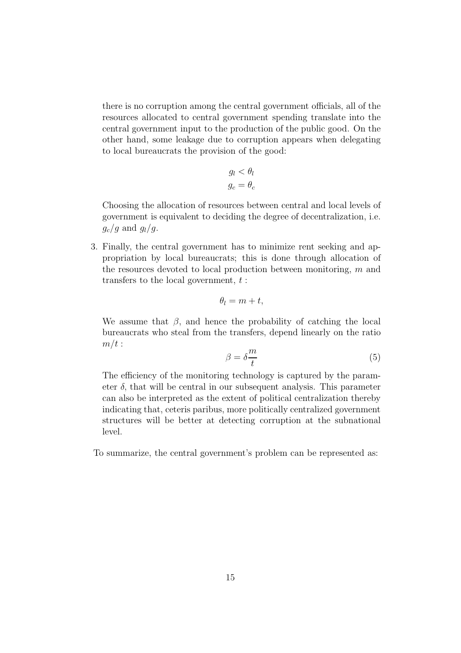there is no corruption among the central government officials, all of the resources allocated to central government spending translate into the central government input to the production of the public good. On the other hand, some leakage due to corruption appears when delegating to local bureaucrats the provision of the good:

$$
g_l < \theta_l
$$
\n
$$
g_c = \theta_c
$$

Choosing the allocation of resources between central and local levels of government is equivalent to deciding the degree of decentralization, i.e.  $g_c/g$  and  $g_l/g$ .

3. Finally, the central government has to minimize rent seeking and appropriation by local bureaucrats; this is done through allocation of the resources devoted to local production between monitoring, m and transfers to the local government,  $t$ :

$$
\theta_l = m + t,
$$

We assume that  $\beta$ , and hence the probability of catching the local bureaucrats who steal from the transfers, depend linearly on the ratio  $m/t$ :

$$
\beta = \delta \frac{m}{t} \tag{5}
$$

The efficiency of the monitoring technology is captured by the parameter  $\delta$ , that will be central in our subsequent analysis. This parameter can also be interpreted as the extent of political centralization thereby indicating that, ceteris paribus, more politically centralized government structures will be better at detecting corruption at the subnational level.

To summarize, the central government's problem can be represented as: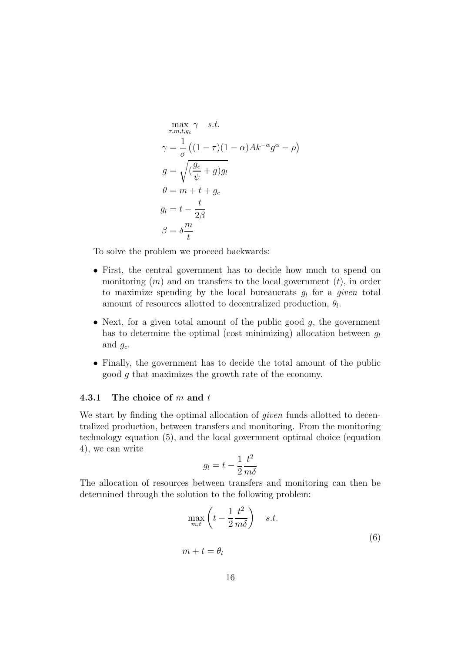$$
\max_{\tau,m,t,g_c} \gamma \quad s.t.
$$
  
\n
$$
\gamma = \frac{1}{\sigma} \left( (1-\tau)(1-\alpha)Ak^{-\alpha}g^{\alpha} - \rho \right)
$$
  
\n
$$
g = \sqrt{\left(\frac{g_c}{\psi} + g\right)g_l}
$$
  
\n
$$
\theta = m + t + g_c
$$
  
\n
$$
g_l = t - \frac{t}{2\beta}
$$
  
\n
$$
\beta = \delta \frac{m}{t}
$$

To solve the problem we proceed backwards:

- First, the central government has to decide how much to spend on monitoring  $(m)$  and on transfers to the local government  $(t)$ , in order to maximize spending by the local bureaucrats  $g_l$  for a *given* total amount of resources allotted to decentralized production,  $\theta_l$ .
- Next, for a given total amount of the public good  $q$ , the government has to determine the optimal (cost minimizing) allocation between  $q_l$ and  $g_c$ .
- Finally, the government has to decide the total amount of the public good g that maximizes the growth rate of the economy.

#### 4.3.1 The choice of  $m$  and  $t$

We start by finding the optimal allocation of *given* funds allotted to decentralized production, between transfers and monitoring. From the monitoring technology equation (5), and the local government optimal choice (equation 4), we can write

$$
g_l=t-\frac{1}{2}\frac{t^2}{m\delta}
$$

The allocation of resources between transfers and monitoring can then be determined through the solution to the following problem:

$$
\max_{m,t} \left( t - \frac{1}{2} \frac{t^2}{m\delta} \right) \quad s.t. \tag{6}
$$
\n
$$
m + t = \theta_l
$$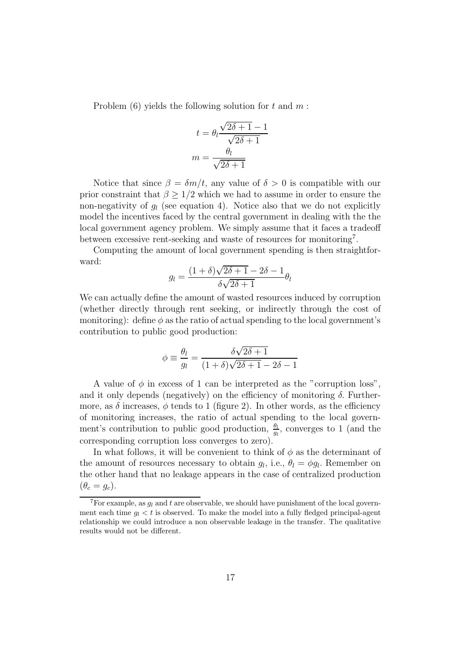Problem  $(6)$  yields the following solution for t and m:

$$
t = \theta_l \frac{\sqrt{2\delta + 1} - 1}{\sqrt{2\delta + 1}}
$$

$$
m = \frac{\theta_l}{\sqrt{2\delta + 1}}
$$

Notice that since  $\beta = \delta m/t$ , any value of  $\delta > 0$  is compatible with our prior constraint that  $\beta \geq 1/2$  which we had to assume in order to ensure the non-negativity of  $g_l$  (see equation 4). Notice also that we do not explicitly model the incentives faced by the central government in dealing with the the local government agency problem. We simply assume that it faces a tradeoff between excessive rent-seeking and waste of resources for monitoring<sup>7</sup>.

Computing the amount of local government spending is then straightforward:

$$
g_l = \frac{(1+\delta)\sqrt{2\delta+1}-2\delta-1}{\delta\sqrt{2\delta+1}}\theta_l
$$

We can actually define the amount of wasted resources induced by corruption (whether directly through rent seeking, or indirectly through the cost of monitoring): define  $\phi$  as the ratio of actual spending to the local government's contribution to public good production:

$$
\phi \equiv \frac{\theta_l}{g_l} = \frac{\delta\sqrt{2\delta + 1}}{(1 + \delta)\sqrt{2\delta + 1} - 2\delta - 1}
$$

A value of  $\phi$  in excess of 1 can be interpreted as the "corruption loss", and it only depends (negatively) on the efficiency of monitoring  $\delta$ . Furthermore, as  $\delta$  increases,  $\phi$  tends to 1 (figure 2). In other words, as the efficiency of monitoring increases, the ratio of actual spending to the local government's contribution to public good production,  $\frac{\theta_l}{g_l}$ , converges to 1 (and the corresponding corruption loss converges to zero).

In what follows, it will be convenient to think of  $\phi$  as the determinant of the amount of resources necessary to obtain  $g_l$ , i.e.,  $\theta_l = \phi g_l$ . Remember on the other hand that no leakage appears in the case of centralized production  $(\theta_c = g_c).$ 

<sup>&</sup>lt;sup>7</sup>For example, as  $g_l$  and t are observable, we should have punishment of the local government each time  $g_l < t$  is observed. To make the model into a fully fledged principal-agent relationship we could introduce a non observable leakage in the transfer. The qualitative results would not be different.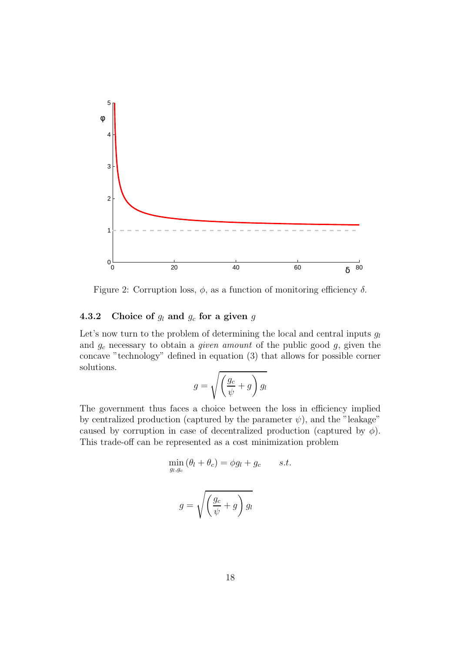

Figure 2: Corruption loss,  $\phi$ , as a function of monitoring efficiency  $\delta$ .

#### 4.3.2 Choice of  $g_l$  and  $g_c$  for a given g

Let's now turn to the problem of determining the local and central inputs  $g_l$ and  $g_c$  necessary to obtain a *given amount* of the public good  $g$ , given the concave "technology" defined in equation (3) that allows for possible corner solutions.

$$
g = \sqrt{\left(\frac{g_c}{\psi} + g\right)g_l}
$$

The government thus faces a choice between the loss in efficiency implied by centralized production (captured by the parameter  $\psi$ ), and the "leakage" caused by corruption in case of decentralized production (captured by  $\phi$ ). This trade-off can be represented as a cost minimization problem

$$
\min_{g_l, g_c} (\theta_l + \theta_c) = \phi g_l + g_c \qquad s.t.
$$
\n
$$
g = \sqrt{\left(\frac{g_c}{\psi} + g\right) g_l}
$$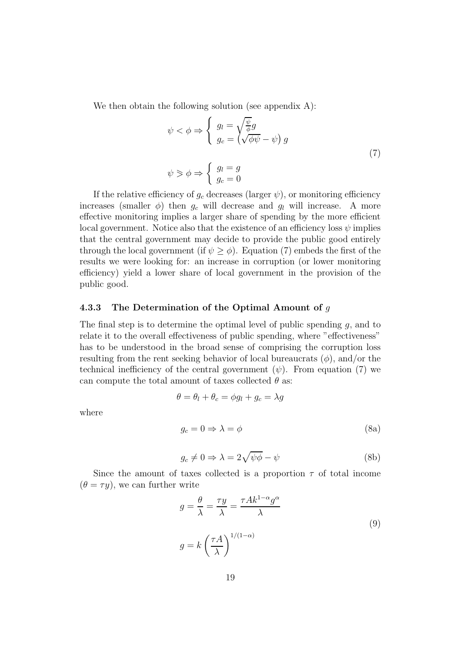We then obtain the following solution (see appendix A):

$$
\psi < \phi \Rightarrow \begin{cases} g_l = \sqrt{\frac{\psi}{\phi}} g \\ g_c = \left(\sqrt{\phi \psi} - \psi\right) g \end{cases} \tag{7}
$$
\n
$$
\psi \geq \phi \Rightarrow \begin{cases} g_l = g \\ g_c = 0 \end{cases}
$$

If the relative efficiency of  $g_c$  decreases (larger  $\psi$ ), or monitoring efficiency increases (smaller  $\phi$ ) then  $g_c$  will decrease and  $g_l$  will increase. A more effective monitoring implies a larger share of spending by the more efficient local government. Notice also that the existence of an efficiency loss  $\psi$  implies that the central government may decide to provide the public good entirely through the local government (if  $\psi \ge \phi$ ). Equation (7) embeds the first of the results we were looking for: an increase in corruption (or lower monitoring efficiency) yield a lower share of local government in the provision of the public good.

#### 4.3.3 The Determination of the Optimal Amount of  $g$

The final step is to determine the optimal level of public spending g, and to relate it to the overall effectiveness of public spending, where "effectiveness" has to be understood in the broad sense of comprising the corruption loss resulting from the rent seeking behavior of local bureaucrats  $(\phi)$ , and/or the technical inefficiency of the central government  $(\psi)$ . From equation (7) we can compute the total amount of taxes collected  $\theta$  as:

$$
\theta = \theta_l + \theta_c = \phi g_l + g_c = \lambda g
$$

where

$$
g_c = 0 \Rightarrow \lambda = \phi \tag{8a}
$$

$$
g_c \neq 0 \Rightarrow \lambda = 2\sqrt{\psi\phi} - \psi
$$
 (8b)

Since the amount of taxes collected is a proportion  $\tau$  of total income  $(\theta = \tau y)$ , we can further write

$$
g = \frac{\theta}{\lambda} = \frac{\tau y}{\lambda} = \frac{\tau Ak^{1-\alpha}g^{\alpha}}{\lambda}
$$
  

$$
g = k \left(\frac{\tau A}{\lambda}\right)^{1/(1-\alpha)}
$$
 (9)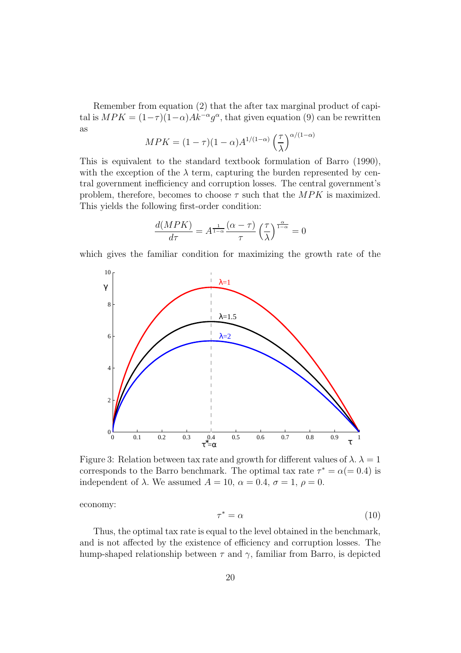Remember from equation (2) that the after tax marginal product of capital is  $MPK = (1-\tau)(1-\alpha)Ak^{-\alpha}g^{\alpha}$ , that given equation (9) can be rewritten as

$$
MPK = (1 - \tau)(1 - \alpha)A^{1/(1 - \alpha)}\left(\frac{\tau}{\lambda}\right)^{\alpha/(1 - \alpha)}
$$

This is equivalent to the standard textbook formulation of Barro (1990), with the exception of the  $\lambda$  term, capturing the burden represented by central government inefficiency and corruption losses. The central government's problem, therefore, becomes to choose  $\tau$  such that the MPK is maximized. This yields the following first-order condition:

$$
\frac{d(MPK)}{d\tau} = A^{\frac{1}{1-\alpha}} \frac{(\alpha-\tau)}{\tau} \left(\frac{\tau}{\lambda}\right)^{\frac{\alpha}{1-\alpha}} = 0
$$

which gives the familiar condition for maximizing the growth rate of the



Figure 3: Relation between tax rate and growth for different values of  $\lambda$ .  $\lambda = 1$ corresponds to the Barro benchmark. The optimal tax rate  $\tau^* = \alpha (= 0.4)$  is independent of  $\lambda$ . We assumed  $A = 10$ ,  $\alpha = 0.4$ ,  $\sigma = 1$ ,  $\rho = 0$ .

economy:

$$
\tau^* = \alpha \tag{10}
$$

Thus, the optimal tax rate is equal to the level obtained in the benchmark, and is not affected by the existence of efficiency and corruption losses. The hump-shaped relationship between  $\tau$  and  $\gamma$ , familiar from Barro, is depicted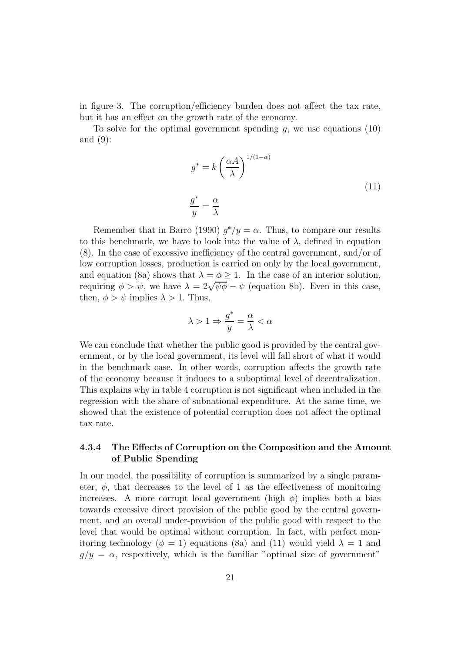in figure 3. The corruption/efficiency burden does not affect the tax rate, but it has an effect on the growth rate of the economy.

To solve for the optimal government spending  $q$ , we use equations (10) and (9):

$$
g^* = k \left(\frac{\alpha A}{\lambda}\right)^{1/(1-\alpha)}
$$
  

$$
\frac{g^*}{y} = \frac{\alpha}{\lambda}
$$
 (11)

Remember that in Barro (1990)  $g^*/y = \alpha$ . Thus, to compare our results to this benchmark, we have to look into the value of  $\lambda$ , defined in equation (8). In the case of excessive inefficiency of the central government, and/or of low corruption losses, production is carried on only by the local government, and equation (8a) shows that  $\lambda = \phi \geq 1$ . In the case of an interior solution, requiring  $\phi > \psi$ , we have  $\lambda = 2\sqrt{\psi \phi} - \psi$  (equation 8b). Even in this case, then,  $\phi > \psi$  implies  $\lambda > 1$ . Thus,

$$
\lambda > 1 \Rightarrow \frac{g^*}{y} = \frac{\alpha}{\lambda} < \alpha
$$

We can conclude that whether the public good is provided by the central government, or by the local government, its level will fall short of what it would in the benchmark case. In other words, corruption affects the growth rate of the economy because it induces to a suboptimal level of decentralization. This explains why in table 4 corruption is not significant when included in the regression with the share of subnational expenditure. At the same time, we showed that the existence of potential corruption does not affect the optimal tax rate.

#### 4.3.4 The Effects of Corruption on the Composition and the Amount of Public Spending

In our model, the possibility of corruption is summarized by a single parameter,  $\phi$ , that decreases to the level of 1 as the effectiveness of monitoring increases. A more corrupt local government (high  $\phi$ ) implies both a bias towards excessive direct provision of the public good by the central government, and an overall under-provision of the public good with respect to the level that would be optimal without corruption. In fact, with perfect monitoring technology ( $\phi = 1$ ) equations (8a) and (11) would yield  $\lambda = 1$  and  $g/y = \alpha$ , respectively, which is the familiar "optimal size of government"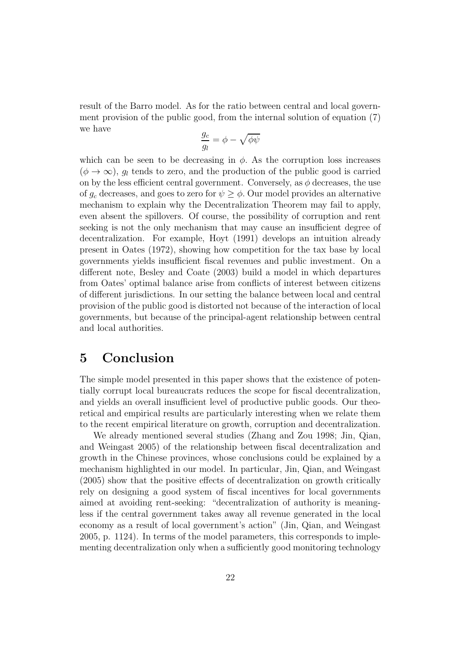result of the Barro model. As for the ratio between central and local government provision of the public good, from the internal solution of equation (7) we have

$$
\frac{g_c}{g_l} = \phi - \sqrt{\phi \psi}
$$

which can be seen to be decreasing in  $\phi$ . As the corruption loss increases  $(\phi \to \infty)$ ,  $g_l$  tends to zero, and the production of the public good is carried on by the less efficient central government. Conversely, as  $\phi$  decreases, the use of  $g_c$  decreases, and goes to zero for  $\psi \geq \phi$ . Our model provides an alternative mechanism to explain why the Decentralization Theorem may fail to apply, even absent the spillovers. Of course, the possibility of corruption and rent seeking is not the only mechanism that may cause an insufficient degree of decentralization. For example, Hoyt (1991) develops an intuition already present in Oates (1972), showing how competition for the tax base by local governments yields insufficient fiscal revenues and public investment. On a different note, Besley and Coate (2003) build a model in which departures from Oates' optimal balance arise from conflicts of interest between citizens of different jurisdictions. In our setting the balance between local and central provision of the public good is distorted not because of the interaction of local governments, but because of the principal-agent relationship between central and local authorities.

## 5 Conclusion

The simple model presented in this paper shows that the existence of potentially corrupt local bureaucrats reduces the scope for fiscal decentralization, and yields an overall insufficient level of productive public goods. Our theoretical and empirical results are particularly interesting when we relate them to the recent empirical literature on growth, corruption and decentralization.

We already mentioned several studies (Zhang and Zou 1998; Jin, Qian, and Weingast 2005) of the relationship between fiscal decentralization and growth in the Chinese provinces, whose conclusions could be explained by a mechanism highlighted in our model. In particular, Jin, Qian, and Weingast (2005) show that the positive effects of decentralization on growth critically rely on designing a good system of fiscal incentives for local governments aimed at avoiding rent-seeking: "decentralization of authority is meaningless if the central government takes away all revenue generated in the local economy as a result of local government's action" (Jin, Qian, and Weingast 2005, p. 1124). In terms of the model parameters, this corresponds to implementing decentralization only when a sufficiently good monitoring technology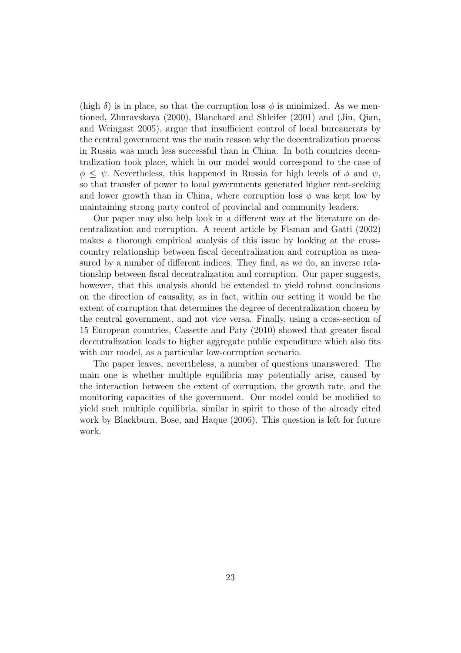(high  $\delta$ ) is in place, so that the corruption loss  $\phi$  is minimized. As we mentioned, Zhuravskaya (2000), Blanchard and Shleifer (2001) and (Jin, Qian, and Weingast 2005), argue that insufficient control of local bureaucrats by the central government was the main reason why the decentralization process in Russia was much less successful than in China. In both countries decentralization took place, which in our model would correspond to the case of  $\phi \leq \psi$ . Nevertheless, this happened in Russia for high levels of  $\phi$  and  $\psi$ , so that transfer of power to local governments generated higher rent-seeking and lower growth than in China, where corruption loss  $\phi$  was kept low by maintaining strong party control of provincial and community leaders.

Our paper may also help look in a different way at the literature on decentralization and corruption. A recent article by Fisman and Gatti (2002) makes a thorough empirical analysis of this issue by looking at the crosscountry relationship between fiscal decentralization and corruption as measured by a number of different indices. They find, as we do, an inverse relationship between fiscal decentralization and corruption. Our paper suggests, however, that this analysis should be extended to yield robust conclusions on the direction of causality, as in fact, within our setting it would be the extent of corruption that determines the degree of decentralization chosen by the central government, and not vice versa. Finally, using a cross-section of 15 European countries, Cassette and Paty (2010) showed that greater fiscal decentralization leads to higher aggregate public expenditure which also fits with our model, as a particular low-corruption scenario.

The paper leaves, nevertheless, a number of questions unanswered. The main one is whether multiple equilibria may potentially arise, caused by the interaction between the extent of corruption, the growth rate, and the monitoring capacities of the government. Our model could be modified to yield such multiple equilibria, similar in spirit to those of the already cited work by Blackburn, Bose, and Haque (2006). This question is left for future work.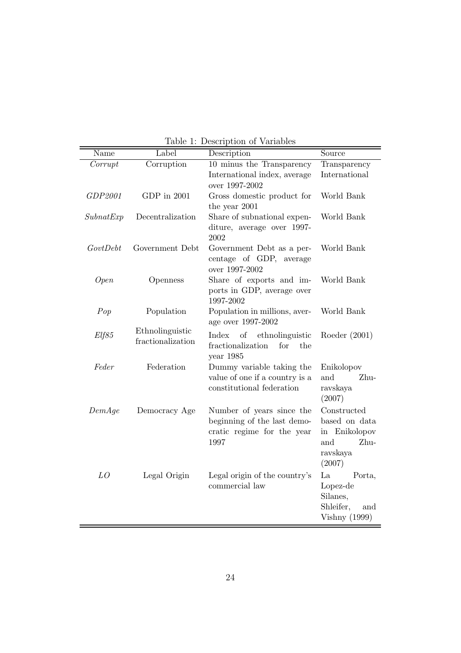| Name      | Label             | Description                                | Source               |
|-----------|-------------------|--------------------------------------------|----------------------|
| Corrupt   | Corruption        | 10 minus the Transparency                  | Transparency         |
|           |                   | International index, average               | International        |
|           |                   | over 1997-2002                             |                      |
| GDP2001   | GDP in 2001       | Gross domestic product for                 | World Bank           |
|           |                   | the year 2001                              |                      |
| SubnatExp | Decentralization  | Share of subnational expen-                | World Bank           |
|           |                   | diture, average over 1997-                 |                      |
|           |                   | 2002                                       |                      |
| GovtDebt  | Government Debt   | Government Debt as a per-                  | World Bank           |
|           |                   | centage of GDP, average                    |                      |
|           |                   | over 1997-2002<br>Share of exports and im- | World Bank           |
| Open      | Openness          | ports in GDP, average over                 |                      |
|           |                   | 1997-2002                                  |                      |
| Pop       | Population        | Population in millions, aver-              | World Bank           |
|           |                   | age over 1997-2002                         |                      |
| Elf85     | Ethnolinguistic   | Index<br>of<br>ethnolinguistic             | Roeder $(2001)$      |
|           | fractionalization | fractionalization<br>for<br>the            |                      |
|           |                   | year 1985                                  |                      |
| Feder     | Federation        | Dummy variable taking the                  | Enikolopov           |
|           |                   | value of one if a country is a             | and<br>Zhu-          |
|           |                   | constitutional federation                  | ravskaya             |
|           |                   |                                            | (2007)               |
| DemAge    | Democracy Age     | Number of years since the                  | Constructed          |
|           |                   | beginning of the last demo-                | based on data        |
|           |                   | cratic regime for the year                 | in Enikolopov        |
|           |                   | 1997                                       | and<br>Zhu-          |
|           |                   |                                            | ravskaya             |
|           |                   |                                            | (2007)               |
| LO        | Legal Origin      | Legal origin of the country's              | La<br>Porta,         |
|           |                   | commercial law                             | Lopez-de             |
|           |                   |                                            | Silanes,             |
|           |                   |                                            | Shleifer,<br>and     |
|           |                   |                                            | <b>Vishny</b> (1999) |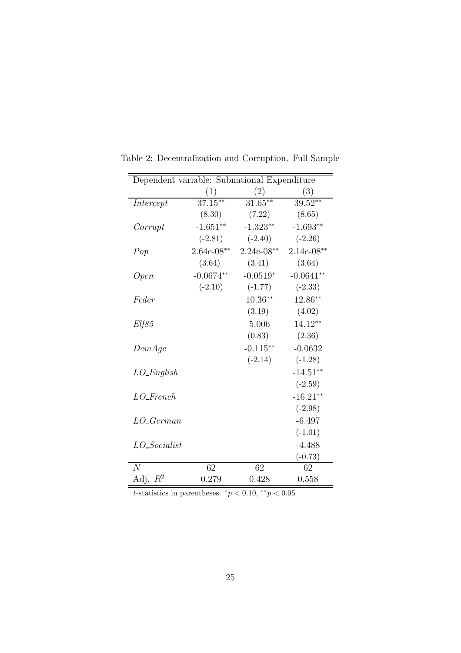| Dependent variable: Subnational Expenditure |              |              |              |  |
|---------------------------------------------|--------------|--------------|--------------|--|
|                                             | (1)          | (2)          | (3)          |  |
| Intercept                                   | $37.15***$   | $31.65***$   | $39.52**$    |  |
|                                             | (8.30)       | (7.22)       | (8.65)       |  |
| Corrupt                                     | $-1.651**$   | $-1.323**$   | $-1.693**$   |  |
|                                             | $(-2.81)$    | $(-2.40)$    | $(-2.26)$    |  |
| Pop                                         | $2.64e-08**$ | $2.24e-08**$ | $2.14e-08**$ |  |
|                                             | (3.64)       | (3.41)       | (3.64)       |  |
| <i>Open</i>                                 | $-0.0674**$  | $-0.0519*$   | $-0.0641**$  |  |
|                                             | $(-2.10)$    | $(-1.77)$    | $(-2.33)$    |  |
| Feder                                       |              | $10.36**$    | 12.86**      |  |
|                                             |              | (3.19)       | (4.02)       |  |
| Elf85                                       |              | 5.006        | $14.12**$    |  |
|                                             |              | (0.83)       | (2.36)       |  |
| DemAge                                      |              | $-0.115**$   | $-0.0632$    |  |
|                                             |              | $(-2.14)$    | $(-1.28)$    |  |
| $LO$ <i>English</i>                         |              |              | $-14.51**$   |  |
|                                             |              |              | $(-2.59)$    |  |
| $LO_F$ rench                                |              |              | $-16.21**$   |  |
|                                             |              |              | $(-2.98)$    |  |
| $LO_{\textit{-German}}$                     |              |              | $-6.497$     |  |
|                                             |              |              | $(-1.01)$    |  |
| $LO\_Socialist$                             |              |              | $-4.488$     |  |
|                                             |              |              | $(-0.73)$    |  |
| $\overline{N}$                              | 62           | 62           | 62           |  |
| Adj.<br>$R^2$                               | 0.279        | 0.428        | 0.558        |  |

Table 2: Decentralization and Corruption. Full Sample

t-statistics in parentheses.  $*_p$  < 0.10,  $*_p$  < 0.05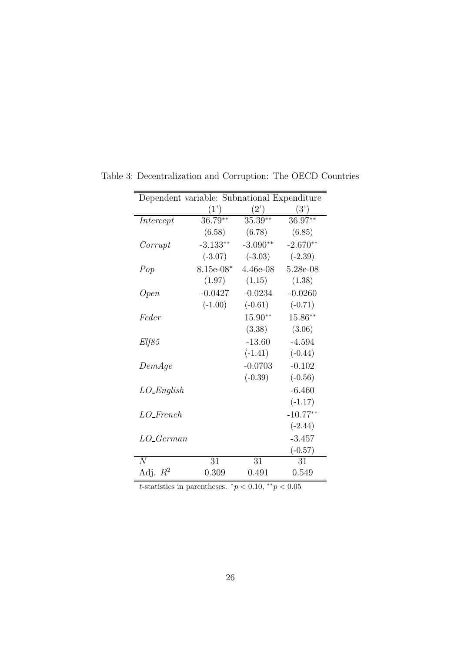| Dependent variable: Subnational Expenditure |             |            |            |  |
|---------------------------------------------|-------------|------------|------------|--|
|                                             | (1')        | (2)        | (3')       |  |
| Intercept                                   | $36.79**$   | $35.39**$  | 36.97**    |  |
|                                             | (6.58)      | (6.78)     | (6.85)     |  |
| Corrupt                                     | $-3.133**$  | $-3.090**$ | $-2.670**$ |  |
|                                             | $(-3.07)$   | $(-3.03)$  | $(-2.39)$  |  |
| Pop                                         | $8.15e-08*$ | 4.46e-08   | 5.28e-08   |  |
|                                             | (1.97)      | (1.15)     | (1.38)     |  |
| <i>Open</i>                                 | $-0.0427$   | $-0.0234$  | $-0.0260$  |  |
|                                             | $(-1.00)$   | $(-0.61)$  | $(-0.71)$  |  |
| Feder                                       |             | $15.90**$  | 15.86**    |  |
|                                             |             | (3.38)     | (3.06)     |  |
| Elf85                                       |             | $-13.60$   | $-4.594$   |  |
|                                             |             | $(-1.41)$  | $(-0.44)$  |  |
| DemAge                                      |             | $-0.0703$  | $-0.102$   |  |
|                                             |             | $(-0.39)$  | $(-0.56)$  |  |
| $LO$ _English                               |             |            | $-6.460$   |  |
|                                             |             |            | $(-1.17)$  |  |
| $LO_F$ French                               |             |            | $-10.77**$ |  |
|                                             |             |            | $(-2.44)$  |  |
| $LO_{\textit{-}German}$                     |             |            | $-3.457$   |  |
|                                             |             |            | $(-0.57)$  |  |
| $\overline{N}$                              | 31          | 31         | 31         |  |
| $R^2$<br>Adj.                               | 0.309       | 0.491      | 0.549      |  |

Table 3: Decentralization and Corruption: The OECD Countries

t-statistics in parentheses.  $*_p$  < 0.10,  $*_p$  < 0.05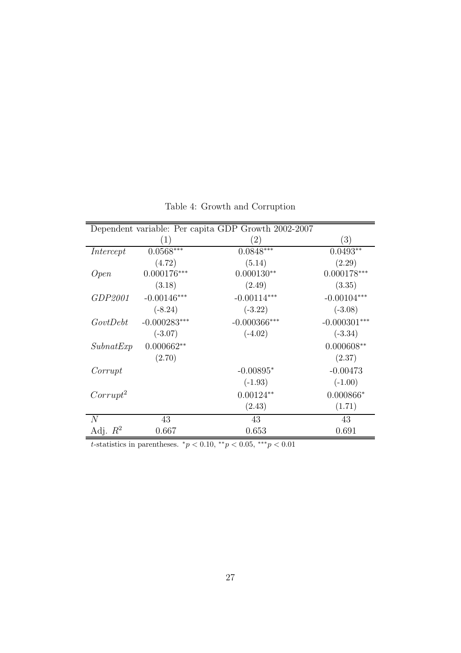| Dependent variable: Per capita GDP Growth 2002-2007 |                |                   |                |  |  |
|-----------------------------------------------------|----------------|-------------------|----------------|--|--|
|                                                     | (1)            | $\left( 2\right)$ | (3)            |  |  |
| Intercept                                           | $0.0568***$    | $0.0848***$       | $0.0493**$     |  |  |
|                                                     | (4.72)         | (5.14)            | (2.29)         |  |  |
| Open                                                | $0.000176***$  | $0.000130**$      | $0.000178***$  |  |  |
|                                                     | (3.18)         | (2.49)            | (3.35)         |  |  |
| GDP2001                                             | $-0.00146***$  | $-0.00114***$     | $-0.00104***$  |  |  |
|                                                     | $(-8.24)$      | $(-3.22)$         | $(-3.08)$      |  |  |
| GovtDebt                                            | $-0.000283***$ | $-0.000366$ ***   | $-0.000301***$ |  |  |
|                                                     | $(-3.07)$      | $(-4.02)$         | $(-3.34)$      |  |  |
| SubnatExp                                           | $0.000662**$   |                   | $0.000608**$   |  |  |
|                                                     | (2.70)         |                   | (2.37)         |  |  |
| Corrupt                                             |                | $-0.00895*$       | $-0.00473$     |  |  |
|                                                     |                | $(-1.93)$         | $(-1.00)$      |  |  |
| $Corrupt^2$                                         |                | $0.00124**$       | $0.000866*$    |  |  |
|                                                     |                | (2.43)            | (1.71)         |  |  |
| $\overline{N}$                                      | 43             | 43                | 43             |  |  |
| Adj. $R^2$                                          | 0.667          | 0.653             | 0.691          |  |  |

Table 4: Growth and Corruption

t-statistics in parentheses.  ${}^*p$  < 0.10,  ${}^{**}p$  < 0.05,  ${}^{***}p$  < 0.01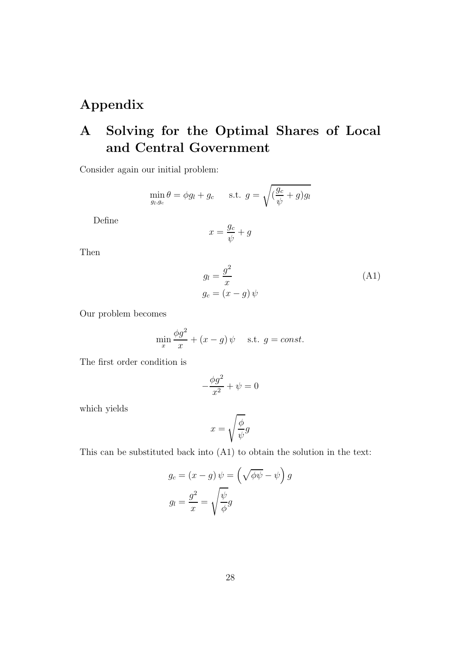# Appendix

# A Solving for the Optimal Shares of Local and Central Government

Consider again our initial problem:

$$
\min_{g_l,g_c} \theta = \phi g_l + g_c \quad \text{s.t. } g = \sqrt{\left(\frac{g_c}{\psi} + g\right)g_l}
$$

Define

$$
x = \frac{g_c}{\psi} + g
$$

Then

$$
g_l = \frac{g^2}{x}
$$
  
\n
$$
g_c = (x - g) \psi
$$
\n(A1)

Our problem becomes

$$
\min_{x} \frac{\phi g^2}{x} + (x - g) \psi \quad \text{s.t. } g = const.
$$

The first order condition is

$$
-\frac{\phi g^2}{x^2}+\psi=0
$$

which yields

$$
x=\sqrt{\frac{\phi}{\psi}}g
$$

This can be substituted back into (A1) to obtain the solution in the text:

$$
g_c = (x - g) \psi = \left(\sqrt{\phi \psi} - \psi\right) g
$$

$$
g_l = \frac{g^2}{x} = \sqrt{\frac{\psi}{\phi}} g
$$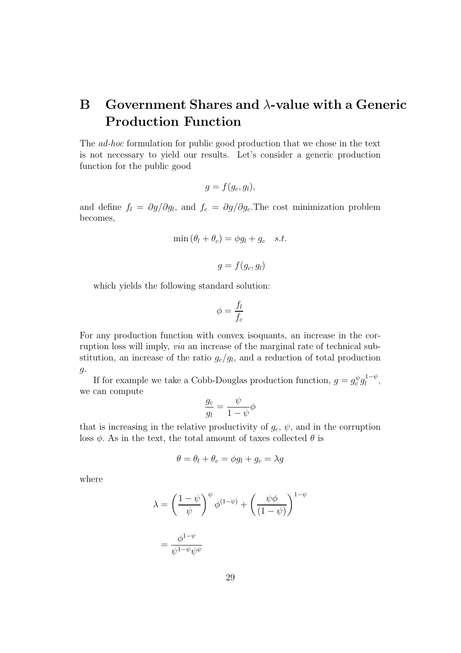# B Government Shares and  $\lambda$ -value with a Generic Production Function

The ad-hoc formulation for public good production that we chose in the text is not necessary to yield our results. Let's consider a generic production function for the public good

$$
g = f(g_c, g_l),
$$

and define  $f_l = \partial g / \partial g_l$ , and  $f_c = \partial g / \partial g_c$ . The cost minimization problem becomes,

$$
\min(\theta_l + \theta_c) = \phi g_l + g_c \quad s.t.
$$

$$
g = f(g_c, g_l)
$$

which yields the following standard solution:

$$
\phi = \frac{f_l}{f_c}
$$

For any production function with convex isoquants, an increase in the corruption loss will imply, via an increase of the marginal rate of technical substitution, an increase of the ratio  $g_c/g_l$ , and a reduction of total production  $\mathfrak{g}$ .

If for example we take a Cobb-Douglas production function,  $g = g_c^{\psi} g_l^{1-\psi}$  $\frac{1-\psi}{l},$ we can compute

$$
\frac{g_c}{g_l} = \frac{\psi}{1 - \psi} \phi
$$

that is increasing in the relative productivity of  $g_c$ ,  $\psi$ , and in the corruption loss  $\phi$ . As in the text, the total amount of taxes collected  $\theta$  is

$$
\theta = \theta_l + \theta_c = \phi g_l + g_c = \lambda g
$$

where

$$
\lambda = \left(\frac{1-\psi}{\psi}\right)^{\psi} \phi^{(1-\psi)} + \left(\frac{\psi\phi}{(1-\psi)}\right)^{1-\psi}
$$

$$
= \frac{\phi^{1-\psi}}{\psi^{1-\psi}\psi^{\psi}}
$$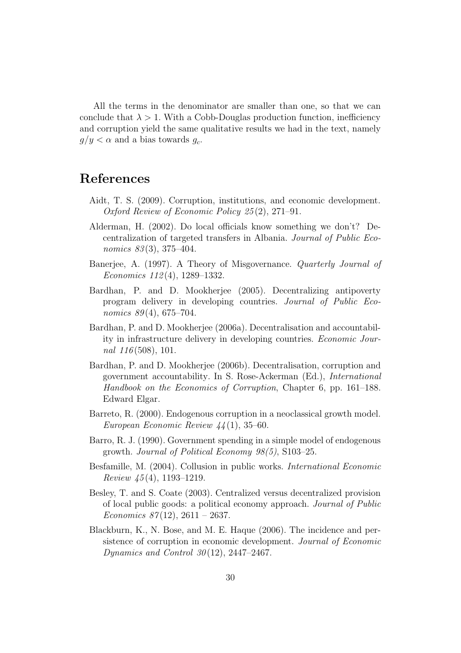All the terms in the denominator are smaller than one, so that we can conclude that  $\lambda > 1$ . With a Cobb-Douglas production function, inefficiency and corruption yield the same qualitative results we had in the text, namely  $g/y < \alpha$  and a bias towards  $g_c$ .

# References

- Aidt, T. S. (2009). Corruption, institutions, and economic development. Oxford Review of Economic Policy 25 (2), 271–91.
- Alderman, H. (2002). Do local officials know something we don't? Decentralization of targeted transfers in Albania. Journal of Public Economics 83(3), 375-404.
- Banerjee, A. (1997). A Theory of Misgovernance. Quarterly Journal of Economics 112 (4), 1289–1332.
- Bardhan, P. and D. Mookherjee (2005). Decentralizing antipoverty program delivery in developing countries. Journal of Public Economics  $89(4)$ , 675–704.
- Bardhan, P. and D. Mookherjee (2006a). Decentralisation and accountability in infrastructure delivery in developing countries. Economic Journal  $116(508)$ , 101.
- Bardhan, P. and D. Mookherjee (2006b). Decentralisation, corruption and government accountability. In S. Rose-Ackerman (Ed.), International Handbook on the Economics of Corruption, Chapter 6, pp. 161–188. Edward Elgar.
- Barreto, R. (2000). Endogenous corruption in a neoclassical growth model. European Economic Review 44 (1), 35–60.
- Barro, R. J. (1990). Government spending in a simple model of endogenous growth. Journal of Political Economy 98(5), S103–25.
- Besfamille, M. (2004). Collusion in public works. International Economic Review  $\frac{45(4)}{1193-1219}$ .
- Besley, T. and S. Coate (2003). Centralized versus decentralized provision of local public goods: a political economy approach. Journal of Public Economics  $87(12)$ ,  $2611 - 2637$ .
- Blackburn, K., N. Bose, and M. E. Haque (2006). The incidence and persistence of corruption in economic development. Journal of Economic Dynamics and Control  $30(12)$ , 2447–2467.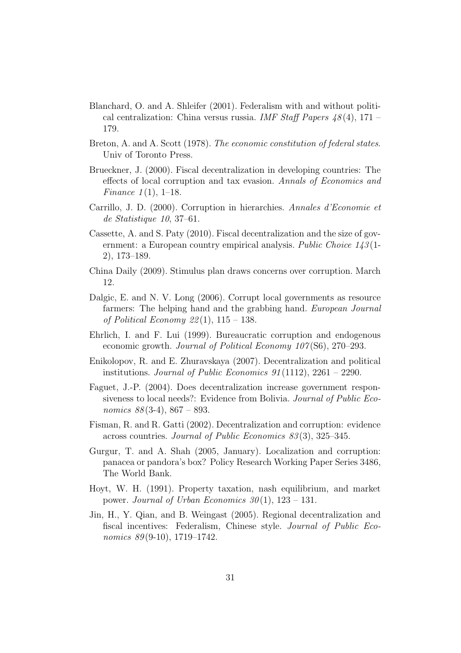- Blanchard, O. and A. Shleifer (2001). Federalism with and without political centralization: China versus russia. IMF Staff Papers  $48(4)$ , 171 – 179.
- Breton, A. and A. Scott (1978). The economic constitution of federal states. Univ of Toronto Press.
- Brueckner, J. (2000). Fiscal decentralization in developing countries: The effects of local corruption and tax evasion. Annals of Economics and *Finance*  $1(1)$ , 1–18.
- Carrillo, J. D. (2000). Corruption in hierarchies. Annales d'Economie et de Statistique 10, 37–61.
- Cassette, A. and S. Paty (2010). Fiscal decentralization and the size of government: a European country empirical analysis. Public Choice  $143(1-$ 2), 173–189.
- China Daily (2009). Stimulus plan draws concerns over corruption. March 12.
- Dalgic, E. and N. V. Long (2006). Corrupt local governments as resource farmers: The helping hand and the grabbing hand. *European Journal* of Political Economy  $22(1)$ ,  $115 - 138$ .
- Ehrlich, I. and F. Lui (1999). Bureaucratic corruption and endogenous economic growth. *Journal of Political Economy 107* (S6), 270–293.
- Enikolopov, R. and E. Zhuravskaya (2007). Decentralization and political institutions. Journal of Public Economics  $91(1112)$ ,  $2261 - 2290$ .
- Faguet, J.-P. (2004). Does decentralization increase government responsiveness to local needs?: Evidence from Bolivia. Journal of Public Economics  $88(3-4)$ ,  $867 - 893$ .
- Fisman, R. and R. Gatti (2002). Decentralization and corruption: evidence across countries. Journal of Public Economics 83 (3), 325–345.
- Gurgur, T. and A. Shah (2005, January). Localization and corruption: panacea or pandora's box? Policy Research Working Paper Series 3486, The World Bank.
- Hoyt, W. H. (1991). Property taxation, nash equilibrium, and market power. Journal of Urban Economics  $30(1)$ ,  $123 - 131$ .
- Jin, H., Y. Qian, and B. Weingast (2005). Regional decentralization and fiscal incentives: Federalism, Chinese style. Journal of Public Economics 89(9-10), 1719–1742.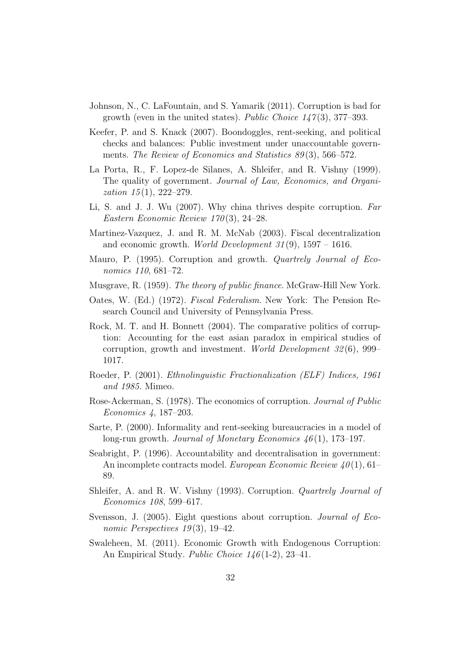- Johnson, N., C. LaFountain, and S. Yamarik (2011). Corruption is bad for growth (even in the united states). Public Choice  $147(3)$ , 377–393.
- Keefer, P. and S. Knack (2007). Boondoggles, rent-seeking, and political checks and balances: Public investment under unaccountable governments. The Review of Economics and Statistics 89(3), 566–572.
- La Porta, R., F. Lopez-de Silanes, A. Shleifer, and R. Vishny (1999). The quality of government. Journal of Law, Economics, and Organization  $15(1)$ , 222-279.
- Li, S. and J. J. Wu (2007). Why china thrives despite corruption. Far Eastern Economic Review 170 (3), 24–28.
- Martinez-Vazquez, J. and R. M. McNab (2003). Fiscal decentralization and economic growth. *World Development*  $31(9)$ ,  $1597 - 1616$ .
- Mauro, P. (1995). Corruption and growth. Quartrely Journal of Economics 110, 681–72.
- Musgrave, R. (1959). The theory of public finance. McGraw-Hill New York.
- Oates, W. (Ed.) (1972). Fiscal Federalism. New York: The Pension Research Council and University of Pennsylvania Press.
- Rock, M. T. and H. Bonnett (2004). The comparative politics of corruption: Accounting for the east asian paradox in empirical studies of corruption, growth and investment. World Development 32 (6), 999– 1017.
- Roeder, P. (2001). Ethnolinguistic Fractionalization (ELF) Indices, 1961 and 1985. Mimeo.
- Rose-Ackerman, S. (1978). The economics of corruption. *Journal of Public* Economics 4, 187–203.
- Sarte, P. (2000). Informality and rent-seeking bureaucracies in a model of long-run growth. Journal of Monetary Economics  $46(1)$ , 173–197.
- Seabright, P. (1996). Accountability and decentralisation in government: An incomplete contracts model. European Economic Review  $40(1)$ , 61– 89.
- Shleifer, A. and R. W. Vishny (1993). Corruption. Quartrely Journal of Economics 108, 599–617.
- Svensson, J. (2005). Eight questions about corruption. Journal of Economic Perspectives  $19(3)$ , 19–42.
- Swaleheen, M. (2011). Economic Growth with Endogenous Corruption: An Empirical Study. Public Choice 146 (1-2), 23–41.